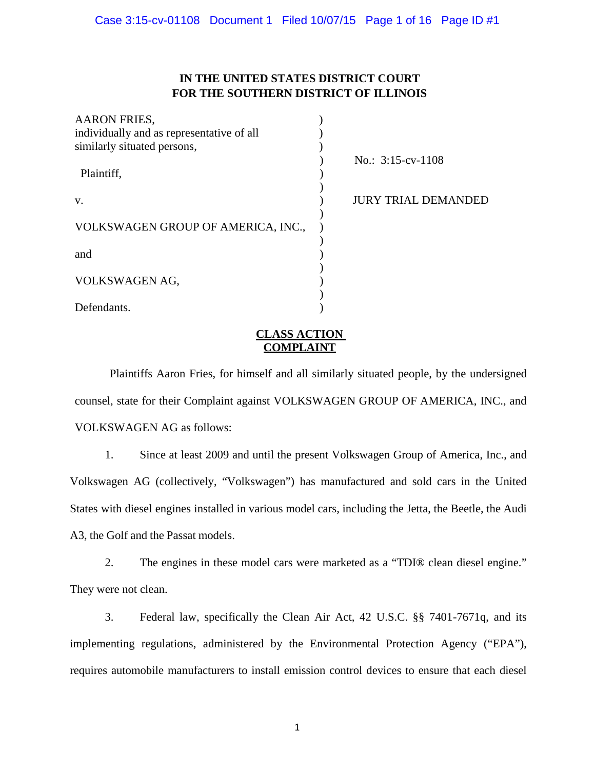# **IN THE UNITED STATES DISTRICT COURT FOR THE SOUTHERN DISTRICT OF ILLINOIS**

| <b>AARON FRIES,</b>                       |                            |
|-------------------------------------------|----------------------------|
| individually and as representative of all |                            |
| similarly situated persons,               |                            |
|                                           | No.: $3:15$ -cv-1108       |
| Plaintiff,                                |                            |
|                                           |                            |
| V.                                        | <b>JURY TRIAL DEMANDED</b> |
|                                           |                            |
| VOLKSWAGEN GROUP OF AMERICA, INC.,        |                            |
|                                           |                            |
| and                                       |                            |
|                                           |                            |
| VOLKSWAGEN AG,                            |                            |
|                                           |                            |
| Defendants.                               |                            |
|                                           |                            |

## **CLASS ACTION COMPLAINT**

Plaintiffs Aaron Fries, for himself and all similarly situated people, by the undersigned counsel, state for their Complaint against VOLKSWAGEN GROUP OF AMERICA, INC., and VOLKSWAGEN AG as follows:

1. Since at least 2009 and until the present Volkswagen Group of America, Inc., and Volkswagen AG (collectively, "Volkswagen") has manufactured and sold cars in the United States with diesel engines installed in various model cars, including the Jetta, the Beetle, the Audi A3, the Golf and the Passat models.

2. The engines in these model cars were marketed as a "TDI® clean diesel engine." They were not clean.

3. Federal law, specifically the Clean Air Act, 42 U.S.C. §§ 7401-7671q, and its implementing regulations, administered by the Environmental Protection Agency ("EPA"), requires automobile manufacturers to install emission control devices to ensure that each diesel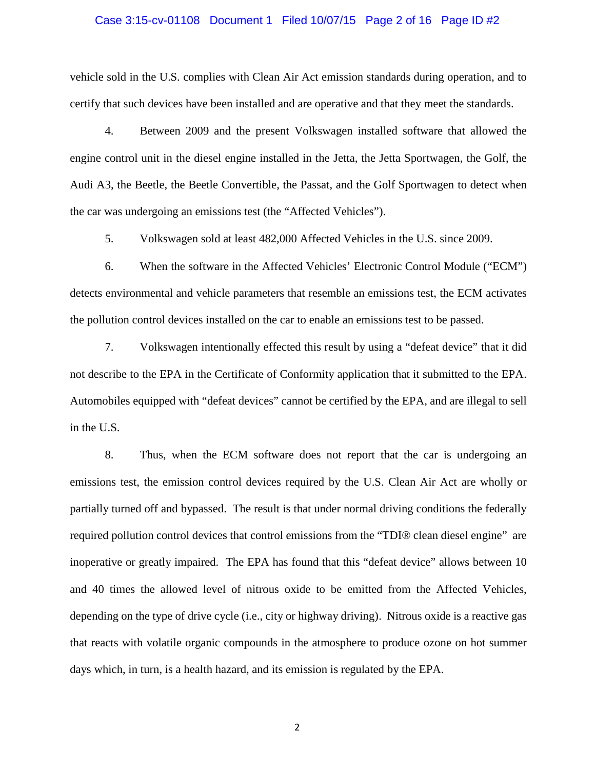#### Case 3:15-cv-01108 Document 1 Filed 10/07/15 Page 2 of 16 Page ID #2

vehicle sold in the U.S. complies with Clean Air Act emission standards during operation, and to certify that such devices have been installed and are operative and that they meet the standards.

4. Between 2009 and the present Volkswagen installed software that allowed the engine control unit in the diesel engine installed in the Jetta, the Jetta Sportwagen, the Golf, the Audi A3, the Beetle, the Beetle Convertible, the Passat, and the Golf Sportwagen to detect when the car was undergoing an emissions test (the "Affected Vehicles").

5. Volkswagen sold at least 482,000 Affected Vehicles in the U.S. since 2009.

6. When the software in the Affected Vehicles' Electronic Control Module ("ECM") detects environmental and vehicle parameters that resemble an emissions test, the ECM activates the pollution control devices installed on the car to enable an emissions test to be passed.

7. Volkswagen intentionally effected this result by using a "defeat device" that it did not describe to the EPA in the Certificate of Conformity application that it submitted to the EPA. Automobiles equipped with "defeat devices" cannot be certified by the EPA, and are illegal to sell in the U.S.

8. Thus, when the ECM software does not report that the car is undergoing an emissions test, the emission control devices required by the U.S. Clean Air Act are wholly or partially turned off and bypassed. The result is that under normal driving conditions the federally required pollution control devices that control emissions from the "TDI® clean diesel engine" are inoperative or greatly impaired. The EPA has found that this "defeat device" allows between 10 and 40 times the allowed level of nitrous oxide to be emitted from the Affected Vehicles, depending on the type of drive cycle (i.e., city or highway driving). Nitrous oxide is a reactive gas that reacts with volatile organic compounds in the atmosphere to produce ozone on hot summer days which, in turn, is a health hazard, and its emission is regulated by the EPA.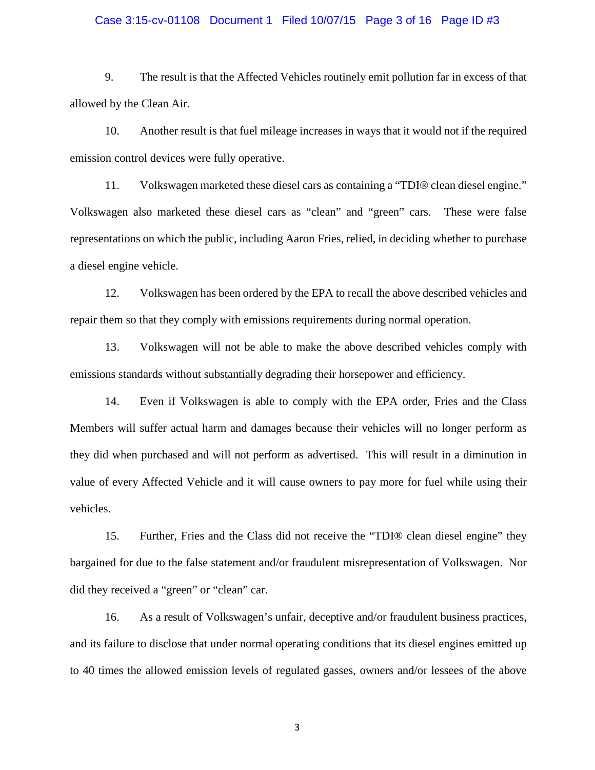#### Case 3:15-cv-01108 Document 1 Filed 10/07/15 Page 3 of 16 Page ID #3

9. The result is that the Affected Vehicles routinely emit pollution far in excess of that allowed by the Clean Air.

10. Another result is that fuel mileage increases in ways that it would not if the required emission control devices were fully operative.

11. Volkswagen marketed these diesel cars as containing a "TDI® clean diesel engine." Volkswagen also marketed these diesel cars as "clean" and "green" cars. These were false representations on which the public, including Aaron Fries, relied, in deciding whether to purchase a diesel engine vehicle.

12. Volkswagen has been ordered by the EPA to recall the above described vehicles and repair them so that they comply with emissions requirements during normal operation.

13. Volkswagen will not be able to make the above described vehicles comply with emissions standards without substantially degrading their horsepower and efficiency.

14. Even if Volkswagen is able to comply with the EPA order, Fries and the Class Members will suffer actual harm and damages because their vehicles will no longer perform as they did when purchased and will not perform as advertised. This will result in a diminution in value of every Affected Vehicle and it will cause owners to pay more for fuel while using their vehicles.

15. Further, Fries and the Class did not receive the "TDI® clean diesel engine" they bargained for due to the false statement and/or fraudulent misrepresentation of Volkswagen. Nor did they received a "green" or "clean" car.

16. As a result of Volkswagen's unfair, deceptive and/or fraudulent business practices, and its failure to disclose that under normal operating conditions that its diesel engines emitted up to 40 times the allowed emission levels of regulated gasses, owners and/or lessees of the above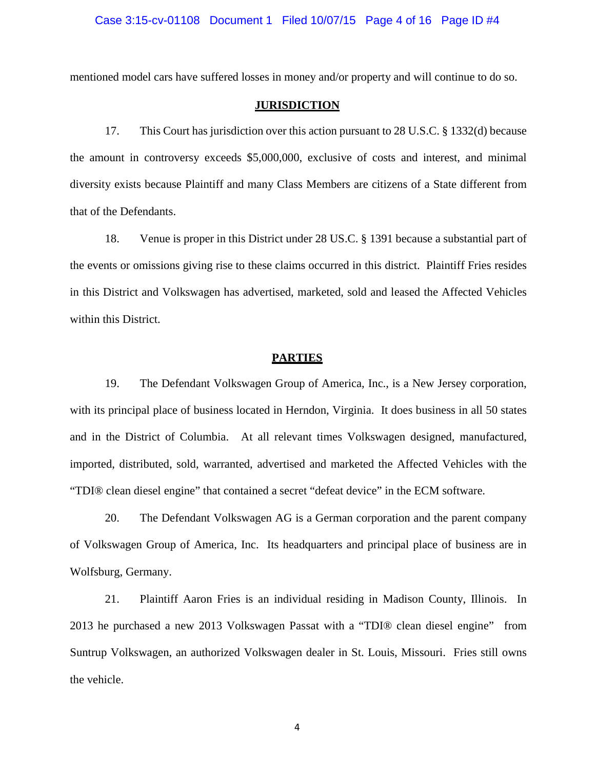mentioned model cars have suffered losses in money and/or property and will continue to do so.

#### **JURISDICTION**

17. This Court has jurisdiction over this action pursuant to 28 U.S.C. § 1332(d) because the amount in controversy exceeds \$5,000,000, exclusive of costs and interest, and minimal diversity exists because Plaintiff and many Class Members are citizens of a State different from that of the Defendants.

18. Venue is proper in this District under 28 US.C. § 1391 because a substantial part of the events or omissions giving rise to these claims occurred in this district. Plaintiff Fries resides in this District and Volkswagen has advertised, marketed, sold and leased the Affected Vehicles within this District.

#### **PARTIES**

19. The Defendant Volkswagen Group of America, Inc., is a New Jersey corporation, with its principal place of business located in Herndon, Virginia. It does business in all 50 states and in the District of Columbia. At all relevant times Volkswagen designed, manufactured, imported, distributed, sold, warranted, advertised and marketed the Affected Vehicles with the "TDI® clean diesel engine" that contained a secret "defeat device" in the ECM software.

20. The Defendant Volkswagen AG is a German corporation and the parent company of Volkswagen Group of America, Inc. Its headquarters and principal place of business are in Wolfsburg, Germany.

21. Plaintiff Aaron Fries is an individual residing in Madison County, Illinois. In 2013 he purchased a new 2013 Volkswagen Passat with a "TDI® clean diesel engine" from Suntrup Volkswagen, an authorized Volkswagen dealer in St. Louis, Missouri. Fries still owns the vehicle.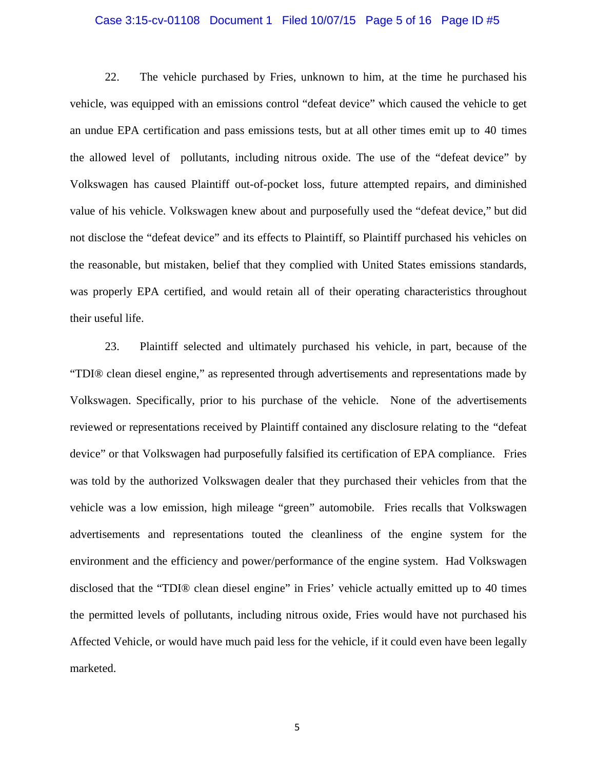#### Case 3:15-cv-01108 Document 1 Filed 10/07/15 Page 5 of 16 Page ID #5

22. The vehicle purchased by Fries, unknown to him, at the time he purchased his vehicle, was equipped with an emissions control "defeat device" which caused the vehicle to get an undue EPA certification and pass emissions tests, but at all other times emit up to 40 times the allowed level of pollutants, including nitrous oxide. The use of the "defeat device" by Volkswagen has caused Plaintiff out-of-pocket loss, future attempted repairs, and diminished value of his vehicle. Volkswagen knew about and purposefully used the "defeat device," but did not disclose the "defeat device" and its effects to Plaintiff, so Plaintiff purchased his vehicles on the reasonable, but mistaken, belief that they complied with United States emissions standards, was properly EPA certified, and would retain all of their operating characteristics throughout their useful life.

23. Plaintiff selected and ultimately purchased his vehicle, in part, because of the "TDI® clean diesel engine," as represented through advertisements and representations made by Volkswagen. Specifically, prior to his purchase of the vehicle. None of the advertisements reviewed or representations received by Plaintiff contained any disclosure relating to the "defeat device" or that Volkswagen had purposefully falsified its certification of EPA compliance. Fries was told by the authorized Volkswagen dealer that they purchased their vehicles from that the vehicle was a low emission, high mileage "green" automobile. Fries recalls that Volkswagen advertisements and representations touted the cleanliness of the engine system for the environment and the efficiency and power/performance of the engine system. Had Volkswagen disclosed that the "TDI® clean diesel engine" in Fries' vehicle actually emitted up to 40 times the permitted levels of pollutants, including nitrous oxide, Fries would have not purchased his Affected Vehicle, or would have much paid less for the vehicle, if it could even have been legally marketed.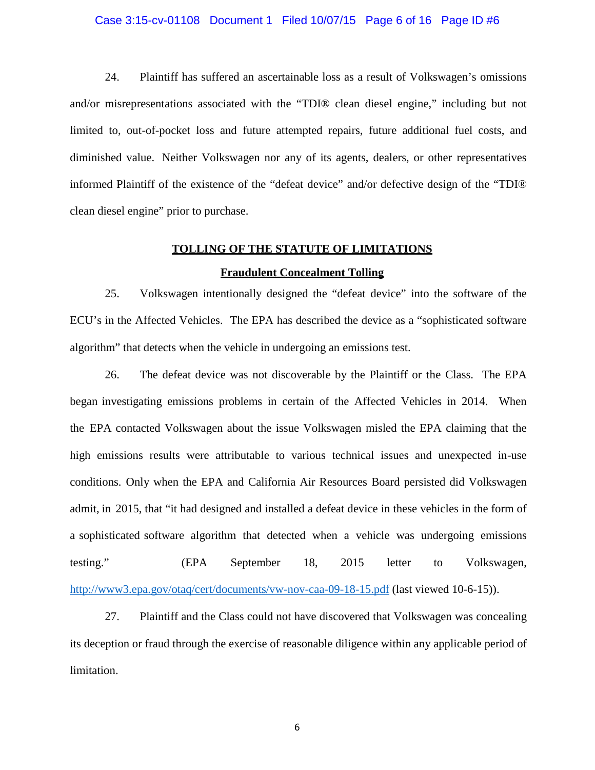#### Case 3:15-cv-01108 Document 1 Filed 10/07/15 Page 6 of 16 Page ID #6

24. Plaintiff has suffered an ascertainable loss as a result of Volkswagen's omissions and/or misrepresentations associated with the "TDI® clean diesel engine," including but not limited to, out-of-pocket loss and future attempted repairs, future additional fuel costs, and diminished value. Neither Volkswagen nor any of its agents, dealers, or other representatives informed Plaintiff of the existence of the "defeat device" and/or defective design of the "TDI® clean diesel engine" prior to purchase.

#### **TOLLING OF THE STATUTE OF LIMITATIONS**

#### **Fraudulent Concealment Tolling**

25. Volkswagen intentionally designed the "defeat device" into the software of the ECU's in the Affected Vehicles. The EPA has described the device as a "sophisticated software algorithm" that detects when the vehicle in undergoing an emissions test.

26. The defeat device was not discoverable by the Plaintiff or the Class. The EPA began investigating emissions problems in certain of the Affected Vehicles in 2014. When the EPA contacted Volkswagen about the issue Volkswagen misled the EPA claiming that the high emissions results were attributable to various technical issues and unexpected in-use conditions. Only when the EPA and California Air Resources Board persisted did Volkswagen admit, in 2015, that "it had designed and installed a defeat device in these vehicles in the form of a sophisticated software algorithm that detected when a vehicle was undergoing emissions testing." (EPA September 18, 2015 letter to Volkswagen, http://www3.epa.gov/otaq/cert/documents/vw-nov-caa-09-18-15.pdf (last viewed 10-6-15)).

27. Plaintiff and the Class could not have discovered that Volkswagen was concealing its deception or fraud through the exercise of reasonable diligence within any applicable period of limitation.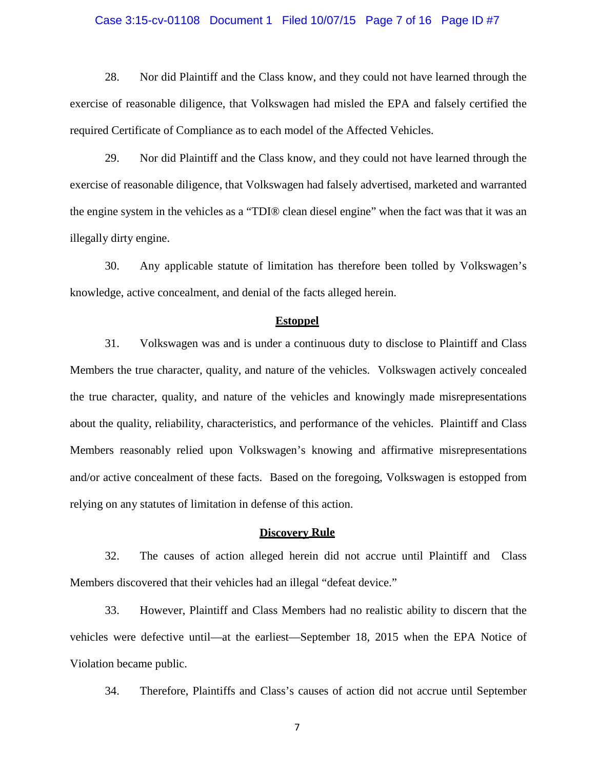#### Case 3:15-cv-01108 Document 1 Filed 10/07/15 Page 7 of 16 Page ID #7

28. Nor did Plaintiff and the Class know, and they could not have learned through the exercise of reasonable diligence, that Volkswagen had misled the EPA and falsely certified the required Certificate of Compliance as to each model of the Affected Vehicles.

29. Nor did Plaintiff and the Class know, and they could not have learned through the exercise of reasonable diligence, that Volkswagen had falsely advertised, marketed and warranted the engine system in the vehicles as a "TDI® clean diesel engine" when the fact was that it was an illegally dirty engine.

30. Any applicable statute of limitation has therefore been tolled by Volkswagen's knowledge, active concealment, and denial of the facts alleged herein.

#### **Estoppel**

31. Volkswagen was and is under a continuous duty to disclose to Plaintiff and Class Members the true character, quality, and nature of the vehicles. Volkswagen actively concealed the true character, quality, and nature of the vehicles and knowingly made misrepresentations about the quality, reliability, characteristics, and performance of the vehicles. Plaintiff and Class Members reasonably relied upon Volkswagen's knowing and affirmative misrepresentations and/or active concealment of these facts. Based on the foregoing, Volkswagen is estopped from relying on any statutes of limitation in defense of this action.

#### **Discovery Rule**

32. The causes of action alleged herein did not accrue until Plaintiff and Class Members discovered that their vehicles had an illegal "defeat device."

33. However, Plaintiff and Class Members had no realistic ability to discern that the vehicles were defective until—at the earliest—September 18, 2015 when the EPA Notice of Violation became public.

34. Therefore, Plaintiffs and Class's causes of action did not accrue until September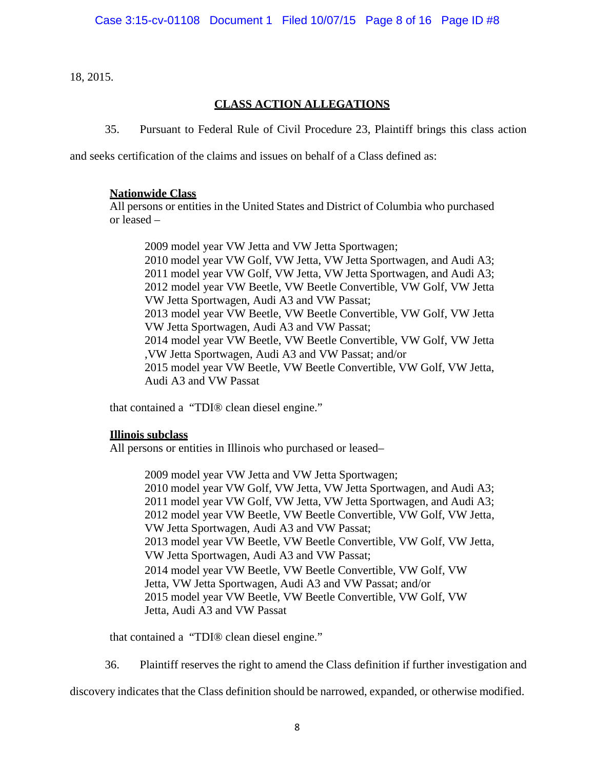18, 2015.

# **CLASS ACTION ALLEGATIONS**

35. Pursuant to Federal Rule of Civil Procedure 23, Plaintiff brings this class action

and seeks certification of the claims and issues on behalf of a Class defined as:

### **Nationwide Class**

All persons or entities in the United States and District of Columbia who purchased or leased –

2009 model year VW Jetta and VW Jetta Sportwagen; 2010 model year VW Golf, VW Jetta, VW Jetta Sportwagen, and Audi A3; 2011 model year VW Golf, VW Jetta, VW Jetta Sportwagen, and Audi A3; 2012 model year VW Beetle, VW Beetle Convertible, VW Golf, VW Jetta VW Jetta Sportwagen, Audi A3 and VW Passat; 2013 model year VW Beetle, VW Beetle Convertible, VW Golf, VW Jetta VW Jetta Sportwagen, Audi A3 and VW Passat; 2014 model year VW Beetle, VW Beetle Convertible, VW Golf, VW Jetta ,VW Jetta Sportwagen, Audi A3 and VW Passat; and/or 2015 model year VW Beetle, VW Beetle Convertible, VW Golf, VW Jetta, Audi A3 and VW Passat

that contained a "TDI® clean diesel engine."

## **Illinois subclass**

All persons or entities in Illinois who purchased or leased–

2009 model year VW Jetta and VW Jetta Sportwagen; 2010 model year VW Golf, VW Jetta, VW Jetta Sportwagen, and Audi A3; 2011 model year VW Golf, VW Jetta, VW Jetta Sportwagen, and Audi A3; 2012 model year VW Beetle, VW Beetle Convertible, VW Golf, VW Jetta, VW Jetta Sportwagen, Audi A3 and VW Passat; 2013 model year VW Beetle, VW Beetle Convertible, VW Golf, VW Jetta, VW Jetta Sportwagen, Audi A3 and VW Passat; 2014 model year VW Beetle, VW Beetle Convertible, VW Golf, VW Jetta, VW Jetta Sportwagen, Audi A3 and VW Passat; and/or 2015 model year VW Beetle, VW Beetle Convertible, VW Golf, VW Jetta, Audi A3 and VW Passat

that contained a "TDI® clean diesel engine."

36. Plaintiff reserves the right to amend the Class definition if further investigation and

discovery indicates that the Class definition should be narrowed, expanded, or otherwise modified.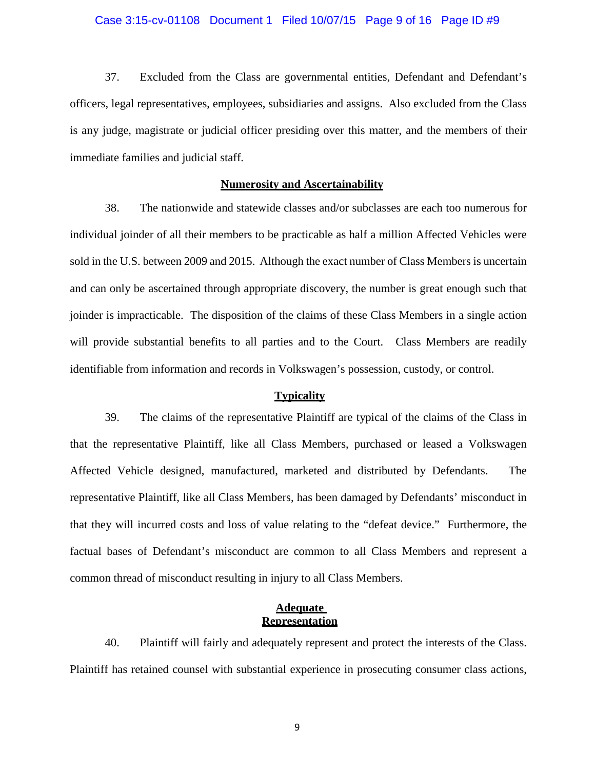#### Case 3:15-cv-01108 Document 1 Filed 10/07/15 Page 9 of 16 Page ID #9

37. Excluded from the Class are governmental entities, Defendant and Defendant's officers, legal representatives, employees, subsidiaries and assigns. Also excluded from the Class is any judge, magistrate or judicial officer presiding over this matter, and the members of their immediate families and judicial staff.

#### **Numerosity and Ascertainability**

38. The nationwide and statewide classes and/or subclasses are each too numerous for individual joinder of all their members to be practicable as half a million Affected Vehicles were sold in the U.S. between 2009 and 2015. Although the exact number of Class Members is uncertain and can only be ascertained through appropriate discovery, the number is great enough such that joinder is impracticable. The disposition of the claims of these Class Members in a single action will provide substantial benefits to all parties and to the Court. Class Members are readily identifiable from information and records in Volkswagen's possession, custody, or control.

#### **Typicality**

39. The claims of the representative Plaintiff are typical of the claims of the Class in that the representative Plaintiff, like all Class Members, purchased or leased a Volkswagen Affected Vehicle designed, manufactured, marketed and distributed by Defendants. The representative Plaintiff, like all Class Members, has been damaged by Defendants' misconduct in that they will incurred costs and loss of value relating to the "defeat device." Furthermore, the factual bases of Defendant's misconduct are common to all Class Members and represent a common thread of misconduct resulting in injury to all Class Members.

#### **Adequate Representation**

40. Plaintiff will fairly and adequately represent and protect the interests of the Class. Plaintiff has retained counsel with substantial experience in prosecuting consumer class actions,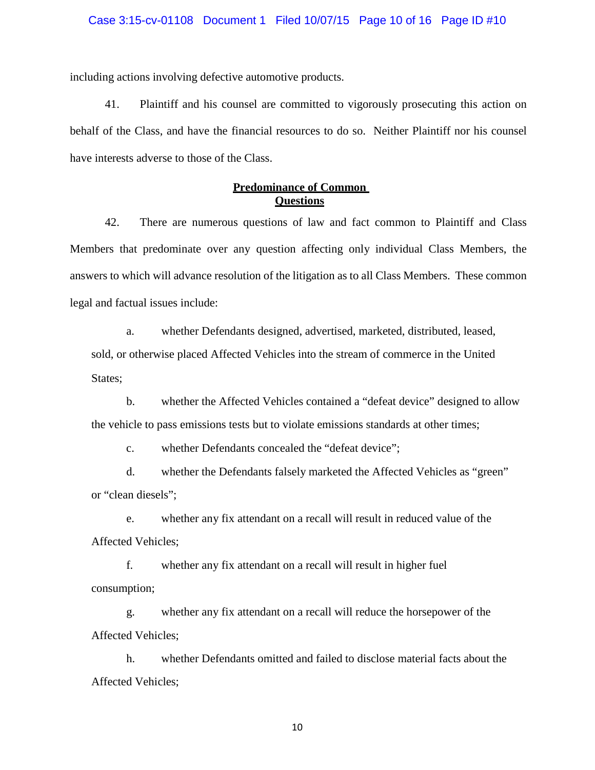including actions involving defective automotive products.

41. Plaintiff and his counsel are committed to vigorously prosecuting this action on behalf of the Class, and have the financial resources to do so. Neither Plaintiff nor his counsel have interests adverse to those of the Class.

# **Predominance of Common Questions**

42. There are numerous questions of law and fact common to Plaintiff and Class Members that predominate over any question affecting only individual Class Members, the answers to which will advance resolution of the litigation as to all Class Members. These common legal and factual issues include:

a. whether Defendants designed, advertised, marketed, distributed, leased, sold, or otherwise placed Affected Vehicles into the stream of commerce in the United States;

b. whether the Affected Vehicles contained a "defeat device" designed to allow the vehicle to pass emissions tests but to violate emissions standards at other times;

c. whether Defendants concealed the "defeat device";

d. whether the Defendants falsely marketed the Affected Vehicles as "green" or "clean diesels";

e. whether any fix attendant on a recall will result in reduced value of the Affected Vehicles;

f. whether any fix attendant on a recall will result in higher fuel consumption;

g. whether any fix attendant on a recall will reduce the horsepower of the Affected Vehicles;

h. whether Defendants omitted and failed to disclose material facts about the Affected Vehicles;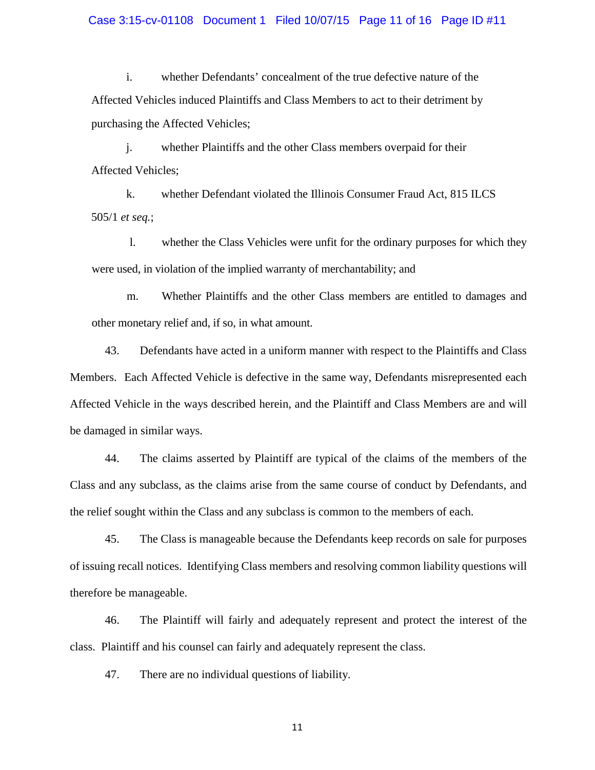#### Case 3:15-cv-01108 Document 1 Filed 10/07/15 Page 11 of 16 Page ID #11

i. whether Defendants' concealment of the true defective nature of the Affected Vehicles induced Plaintiffs and Class Members to act to their detriment by purchasing the Affected Vehicles;

j. whether Plaintiffs and the other Class members overpaid for their Affected Vehicles;

k. whether Defendant violated the Illinois Consumer Fraud Act, 815 ILCS 505/1 *et seq.*;

 l. whether the Class Vehicles were unfit for the ordinary purposes for which they were used, in violation of the implied warranty of merchantability; and

m. Whether Plaintiffs and the other Class members are entitled to damages and other monetary relief and, if so, in what amount.

43. Defendants have acted in a uniform manner with respect to the Plaintiffs and Class Members. Each Affected Vehicle is defective in the same way, Defendants misrepresented each Affected Vehicle in the ways described herein, and the Plaintiff and Class Members are and will be damaged in similar ways.

44. The claims asserted by Plaintiff are typical of the claims of the members of the Class and any subclass, as the claims arise from the same course of conduct by Defendants, and the relief sought within the Class and any subclass is common to the members of each.

45. The Class is manageable because the Defendants keep records on sale for purposes of issuing recall notices. Identifying Class members and resolving common liability questions will therefore be manageable.

46. The Plaintiff will fairly and adequately represent and protect the interest of the class. Plaintiff and his counsel can fairly and adequately represent the class.

47. There are no individual questions of liability.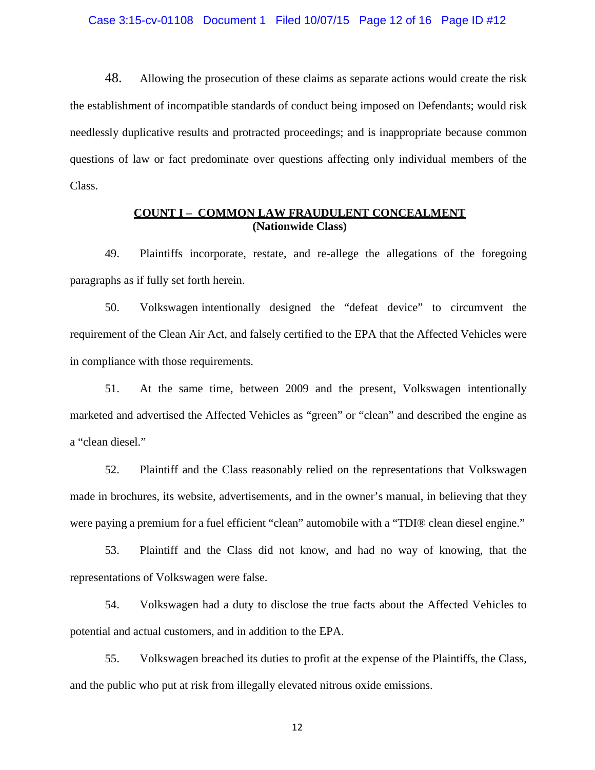48. Allowing the prosecution of these claims as separate actions would create the risk the establishment of incompatible standards of conduct being imposed on Defendants; would risk needlessly duplicative results and protracted proceedings; and is inappropriate because common questions of law or fact predominate over questions affecting only individual members of the Class.

## **COUNT I – COMMON LAW FRAUDULENT CONCEALMENT (Nationwide Class)**

49. Plaintiffs incorporate, restate, and re-allege the allegations of the foregoing paragraphs as if fully set forth herein.

50. Volkswagen intentionally designed the "defeat device" to circumvent the requirement of the Clean Air Act, and falsely certified to the EPA that the Affected Vehicles were in compliance with those requirements.

51. At the same time, between 2009 and the present, Volkswagen intentionally marketed and advertised the Affected Vehicles as "green" or "clean" and described the engine as a "clean diesel."

52. Plaintiff and the Class reasonably relied on the representations that Volkswagen made in brochures, its website, advertisements, and in the owner's manual, in believing that they were paying a premium for a fuel efficient "clean" automobile with a "TDI® clean diesel engine."

53. Plaintiff and the Class did not know, and had no way of knowing, that the representations of Volkswagen were false.

54. Volkswagen had a duty to disclose the true facts about the Affected Vehicles to potential and actual customers, and in addition to the EPA.

55. Volkswagen breached its duties to profit at the expense of the Plaintiffs, the Class, and the public who put at risk from illegally elevated nitrous oxide emissions.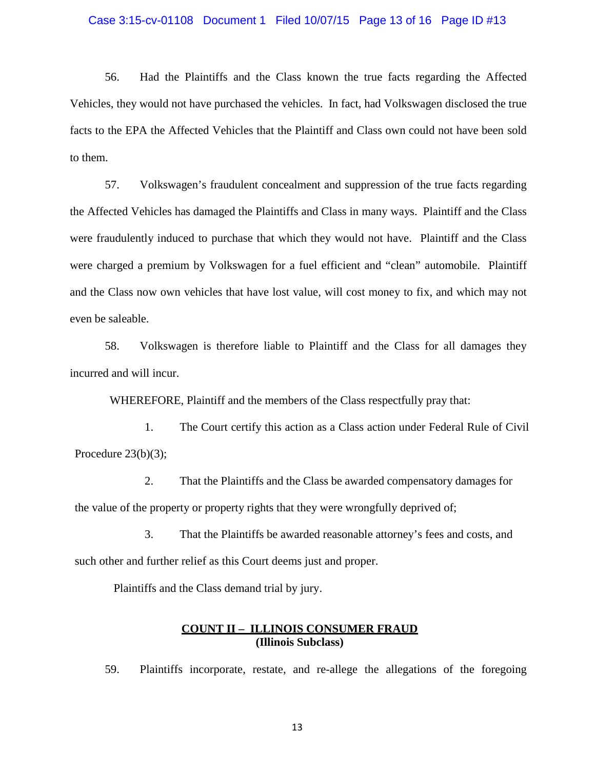#### Case 3:15-cv-01108 Document 1 Filed 10/07/15 Page 13 of 16 Page ID #13

56. Had the Plaintiffs and the Class known the true facts regarding the Affected Vehicles, they would not have purchased the vehicles. In fact, had Volkswagen disclosed the true facts to the EPA the Affected Vehicles that the Plaintiff and Class own could not have been sold to them.

57. Volkswagen's fraudulent concealment and suppression of the true facts regarding the Affected Vehicles has damaged the Plaintiffs and Class in many ways. Plaintiff and the Class were fraudulently induced to purchase that which they would not have. Plaintiff and the Class were charged a premium by Volkswagen for a fuel efficient and "clean" automobile. Plaintiff and the Class now own vehicles that have lost value, will cost money to fix, and which may not even be saleable.

58. Volkswagen is therefore liable to Plaintiff and the Class for all damages they incurred and will incur.

WHEREFORE, Plaintiff and the members of the Class respectfully pray that:

1. The Court certify this action as a Class action under Federal Rule of Civil Procedure 23(b)(3);

2. That the Plaintiffs and the Class be awarded compensatory damages for the value of the property or property rights that they were wrongfully deprived of;

3. That the Plaintiffs be awarded reasonable attorney's fees and costs, and such other and further relief as this Court deems just and proper.

Plaintiffs and the Class demand trial by jury.

## **COUNT II – ILLINOIS CONSUMER FRAUD (Illinois Subclass)**

59. Plaintiffs incorporate, restate, and re-allege the allegations of the foregoing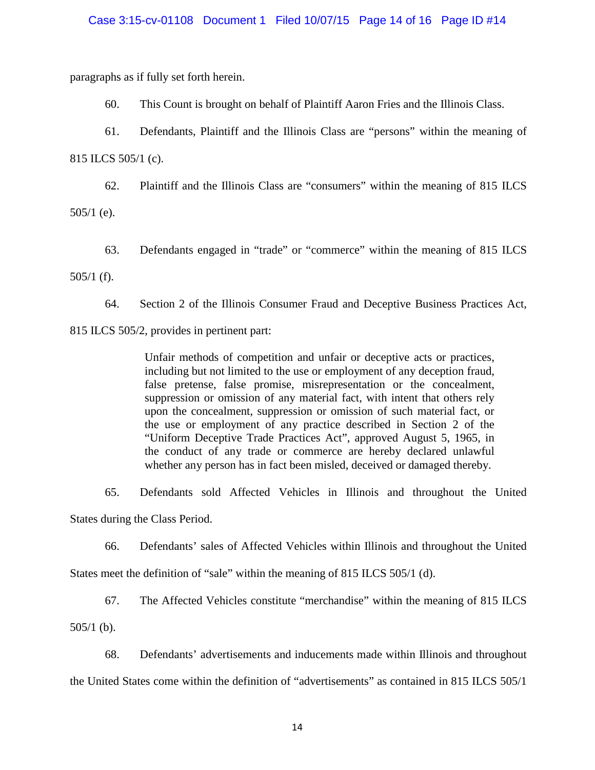#### Case 3:15-cv-01108 Document 1 Filed 10/07/15 Page 14 of 16 Page ID #14

paragraphs as if fully set forth herein.

60. This Count is brought on behalf of Plaintiff Aaron Fries and the Illinois Class.

61. Defendants, Plaintiff and the Illinois Class are "persons" within the meaning of

815 ILCS 505/1 (c).

62. Plaintiff and the Illinois Class are "consumers" within the meaning of 815 ILCS

505/1 (e).

63. Defendants engaged in "trade" or "commerce" within the meaning of 815 ILCS

505/1 (f).

64. Section 2 of the Illinois Consumer Fraud and Deceptive Business Practices Act,

815 ILCS 505/2, provides in pertinent part:

Unfair methods of competition and unfair or deceptive acts or practices, including but not limited to the use or employment of any deception fraud, false pretense, false promise, misrepresentation or the concealment, suppression or omission of any material fact, with intent that others rely upon the concealment, suppression or omission of such material fact, or the use or employment of any practice described in Section 2 of the "Uniform Deceptive Trade Practices Act", approved August 5, 1965, in the conduct of any trade or commerce are hereby declared unlawful whether any person has in fact been misled, deceived or damaged thereby.

65. Defendants sold Affected Vehicles in Illinois and throughout the United States during the Class Period.

66. Defendants' sales of Affected Vehicles within Illinois and throughout the United

States meet the definition of "sale" within the meaning of 815 ILCS 505/1 (d).

67. The Affected Vehicles constitute "merchandise" within the meaning of 815 ILCS

505/1 (b).

68. Defendants' advertisements and inducements made within Illinois and throughout the United States come within the definition of "advertisements" as contained in 815 ILCS 505/1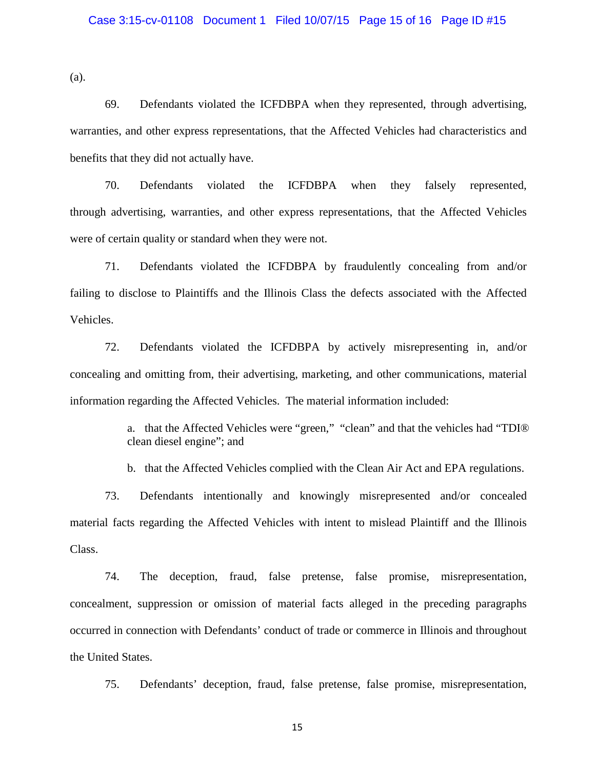(a).

69. Defendants violated the ICFDBPA when they represented, through advertising, warranties, and other express representations, that the Affected Vehicles had characteristics and benefits that they did not actually have.

70. Defendants violated the ICFDBPA when they falsely represented, through advertising, warranties, and other express representations, that the Affected Vehicles were of certain quality or standard when they were not.

71. Defendants violated the ICFDBPA by fraudulently concealing from and/or failing to disclose to Plaintiffs and the Illinois Class the defects associated with the Affected Vehicles.

72. Defendants violated the ICFDBPA by actively misrepresenting in, and/or concealing and omitting from, their advertising, marketing, and other communications, material information regarding the Affected Vehicles. The material information included:

> a. that the Affected Vehicles were "green," "clean" and that the vehicles had "TDI® clean diesel engine"; and

b. that the Affected Vehicles complied with the Clean Air Act and EPA regulations.

73. Defendants intentionally and knowingly misrepresented and/or concealed material facts regarding the Affected Vehicles with intent to mislead Plaintiff and the Illinois Class.

74. The deception, fraud, false pretense, false promise, misrepresentation, concealment, suppression or omission of material facts alleged in the preceding paragraphs occurred in connection with Defendants' conduct of trade or commerce in Illinois and throughout the United States.

75. Defendants' deception, fraud, false pretense, false promise, misrepresentation,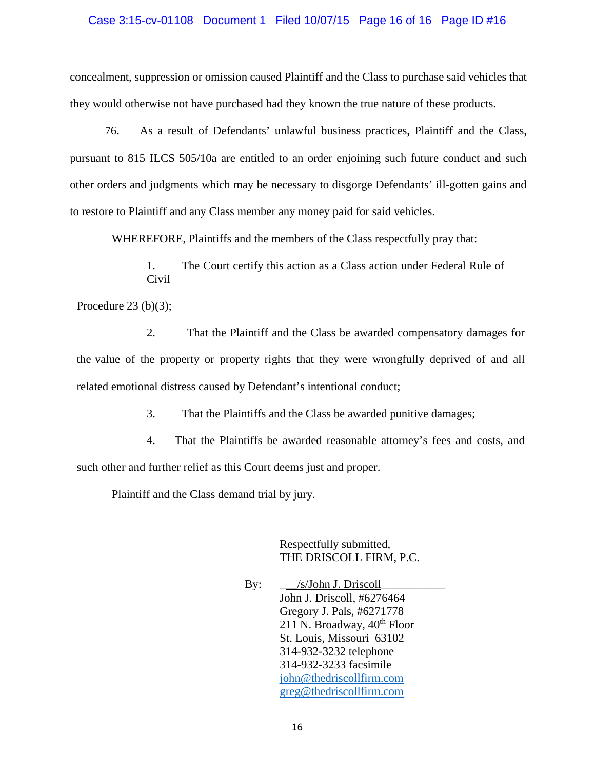#### Case 3:15-cv-01108 Document 1 Filed 10/07/15 Page 16 of 16 Page ID #16

concealment, suppression or omission caused Plaintiff and the Class to purchase said vehicles that they would otherwise not have purchased had they known the true nature of these products.

76. As a result of Defendants' unlawful business practices, Plaintiff and the Class, pursuant to 815 ILCS 505/10a are entitled to an order enjoining such future conduct and such other orders and judgments which may be necessary to disgorge Defendants' ill-gotten gains and to restore to Plaintiff and any Class member any money paid for said vehicles.

WHEREFORE, Plaintiffs and the members of the Class respectfully pray that:

1. The Court certify this action as a Class action under Federal Rule of Civil

Procedure  $23$  (b)(3);

2. That the Plaintiff and the Class be awarded compensatory damages for the value of the property or property rights that they were wrongfully deprived of and all related emotional distress caused by Defendant's intentional conduct;

3. That the Plaintiffs and the Class be awarded punitive damages;

4. That the Plaintiffs be awarded reasonable attorney's fees and costs, and such other and further relief as this Court deems just and proper.

Plaintiff and the Class demand trial by jury.

Respectfully submitted, THE DRISCOLL FIRM, P.C.

By: \_\_\_\_\_/s/John J. Driscoll\_ John J. Driscoll, #6276464 Gregory J. Pals, #6271778 211 N. Broadway,  $40^{th}$  Floor St. Louis, Missouri 63102 314-932-3232 telephone 314-932-3233 facsimile john@thedriscollfirm.com greg@thedriscollfirm.com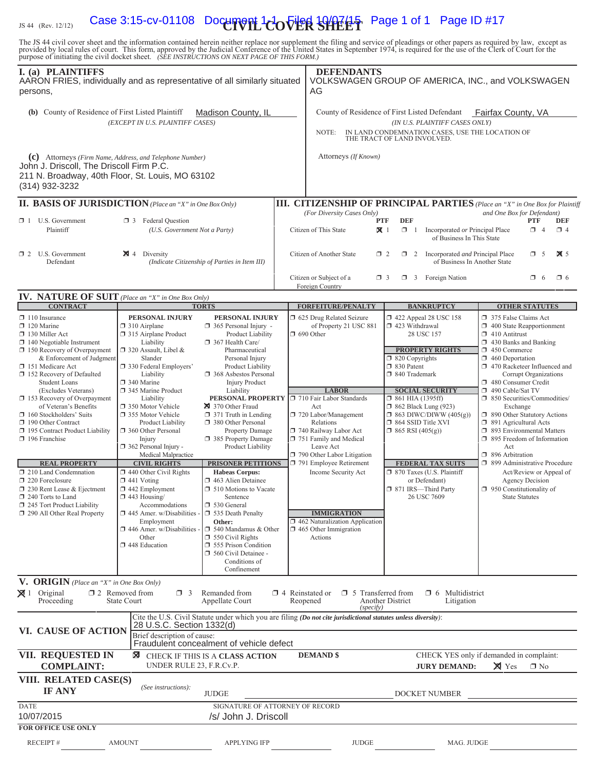# $\frac{1}{15.44}$  (Rev. 12/12) Case 3:15-cv-01108 Document 1 $\frac{1}{100}$   $\frac{1}{100}$   $\frac{1}{100}$   $\frac{1}{100}$   $\frac{1}{100}$   $\frac{1}{100}$  Page 1 of 1 Page ID #17

The JS 44 civil cover sheet and the information contained herein neither replace nor supplement the filing and service of pleadings or other papers as required by law, except as provided by local rules of court. This form,

| I. (a) PLAINTIFFS<br>AARON FRIES, individually and as representative of all similarly situated<br>persons,                                                                                                                                                                                    |                                                                                                                                                                                                                                                                                                                                                                                                                                                                                   |                                                                                                                                                                                                  | <b>DEFENDANTS</b><br>AG                                                                                                                                                                               |                                                                                                                                                                                                                                                                                | VOLKSWAGEN GROUP OF AMERICA, INC., and VOLKSWAGEN                                                                                                                                               |  |
|-----------------------------------------------------------------------------------------------------------------------------------------------------------------------------------------------------------------------------------------------------------------------------------------------|-----------------------------------------------------------------------------------------------------------------------------------------------------------------------------------------------------------------------------------------------------------------------------------------------------------------------------------------------------------------------------------------------------------------------------------------------------------------------------------|--------------------------------------------------------------------------------------------------------------------------------------------------------------------------------------------------|-------------------------------------------------------------------------------------------------------------------------------------------------------------------------------------------------------|--------------------------------------------------------------------------------------------------------------------------------------------------------------------------------------------------------------------------------------------------------------------------------|-------------------------------------------------------------------------------------------------------------------------------------------------------------------------------------------------|--|
| (b) County of Residence of First Listed Plaintiff<br>Madison County, IL<br>(EXCEPT IN U.S. PLAINTIFF CASES)                                                                                                                                                                                   |                                                                                                                                                                                                                                                                                                                                                                                                                                                                                   | County of Residence of First Listed Defendant<br>Fairfax County, VA<br>(IN U.S. PLAINTIFF CASES ONLY)<br>IN LAND CONDEMNATION CASES, USE THE LOCATION OF<br>NOTE:<br>THE TRACT OF LAND INVOLVED. |                                                                                                                                                                                                       |                                                                                                                                                                                                                                                                                |                                                                                                                                                                                                 |  |
| (c) Attorneys (Firm Name, Address, and Telephone Number)<br>John J. Driscoll, The Driscoll Firm P.C.<br>211 N. Broadway, 40th Floor, St. Louis, MO 63102<br>(314) 932-3232                                                                                                                    |                                                                                                                                                                                                                                                                                                                                                                                                                                                                                   |                                                                                                                                                                                                  | Attorneys (If Known)                                                                                                                                                                                  |                                                                                                                                                                                                                                                                                |                                                                                                                                                                                                 |  |
| <b>II. BASIS OF JURISDICTION</b> (Place an "X" in One Box Only)                                                                                                                                                                                                                               |                                                                                                                                                                                                                                                                                                                                                                                                                                                                                   |                                                                                                                                                                                                  |                                                                                                                                                                                                       |                                                                                                                                                                                                                                                                                | <b>III. CITIZENSHIP OF PRINCIPAL PARTIES</b> (Place an "X" in One Box for Plaintiff                                                                                                             |  |
| $\Box$ 1 U.S. Government<br>Plaintiff                                                                                                                                                                                                                                                         | $\Box$ 3 Federal Question<br>(U.S. Government Not a Party)                                                                                                                                                                                                                                                                                                                                                                                                                        |                                                                                                                                                                                                  | (For Diversity Cases Only)<br>Citizen of This State                                                                                                                                                   | <b>DEF</b><br>PTF<br>$\mathbf{X}$ 1<br>$\Box$ 1<br>Incorporated or Principal Place<br>of Business In This State                                                                                                                                                                | and One Box for Defendant)<br><b>PTF</b><br><b>DEF</b><br>$\Box$ 4<br>$\Box$ 4                                                                                                                  |  |
| 1 2 U.S. Government<br>Defendant                                                                                                                                                                                                                                                              | $\boxtimes$ 4 Diversity                                                                                                                                                                                                                                                                                                                                                                                                                                                           | (Indicate Citizenship of Parties in Item III)                                                                                                                                                    | Citizen of Another State<br>$\overline{\mathbf{X}}$ 5<br>$\Box$ 2<br>$\Box$ 2 Incorporated <i>and</i> Principal Place<br>$\Box$ 5<br>of Business In Another State                                     |                                                                                                                                                                                                                                                                                |                                                                                                                                                                                                 |  |
|                                                                                                                                                                                                                                                                                               |                                                                                                                                                                                                                                                                                                                                                                                                                                                                                   |                                                                                                                                                                                                  | Citizen or Subject of a<br>Foreign Country                                                                                                                                                            | $\Box$ 3 Foreign Nation<br>$\Box$ 3                                                                                                                                                                                                                                            | $\Box$ 6<br>$\Box$ 6                                                                                                                                                                            |  |
| <b>IV. NATURE OF SUIT</b> (Place an "X" in One Box Only)<br><b>CONTRACT</b>                                                                                                                                                                                                                   |                                                                                                                                                                                                                                                                                                                                                                                                                                                                                   | <b>TORTS</b>                                                                                                                                                                                     |                                                                                                                                                                                                       |                                                                                                                                                                                                                                                                                |                                                                                                                                                                                                 |  |
| $\Box$ 110 Insurance                                                                                                                                                                                                                                                                          | PERSONAL INJURY                                                                                                                                                                                                                                                                                                                                                                                                                                                                   | PERSONAL INJURY                                                                                                                                                                                  | <b>FORFEITURE/PENALTY</b><br>1 625 Drug Related Seizure                                                                                                                                               | <b>BANKRUPTCY</b><br>158 122 Appeal 28 USC 158                                                                                                                                                                                                                                 | <b>OTHER STATUTES</b><br>375 False Claims Act                                                                                                                                                   |  |
| $\Box$ 120 Marine<br>130 Miller Act<br>$\Box$ 140 Negotiable Instrument<br>150 Recovery of Overpayment<br>& Enforcement of Judgment<br>151 Medicare Act<br>□ 152 Recovery of Defaulted<br><b>Student Loans</b><br>(Excludes Veterans)<br>153 Recovery of Overpayment<br>of Veteran's Benefits | $\Box$ 310 Airplane<br>365 Personal Injury -<br>315 Airplane Product<br>Product Liability<br>Liability<br>367 Health Care/<br>$\Box$ 320 Assault, Libel &<br>Pharmaceutical<br>Slander<br>Personal Injury<br>□ 330 Federal Employers'<br>Product Liability<br>368 Asbestos Personal<br>Liability<br>340 Marine<br><b>Injury Product</b><br>Liability<br>345 Marine Product<br>PERSONAL PROPERTY □ 710 Fair Labor Standards<br>Liability<br>370 Other Fraud<br>□ 350 Motor Vehicle | of Property 21 USC 881<br>$\Box$ 690 Other<br><b>LABOR</b><br>Act                                                                                                                                | 1 423 Withdrawal<br>28 USC 157<br><b>PROPERTY RIGHTS</b><br>□ 820 Copyrights<br>□ 830 Patent<br>□ 840 Trademark<br><b>SOCIAL SECURITY</b><br>$\Box$ 861 HIA (1395ff)<br><b>1</b> 862 Black Lung (923) | 400 State Reapportionment<br>$\Box$ 410 Antitrust<br>$\Box$ 430 Banks and Banking<br>450 Commerce<br>$\Box$ 460 Deportation<br>1 470 Racketeer Influenced and<br>Corrupt Organizations<br>480 Consumer Credit<br>490 Cable/Sat TV<br>□ 850 Securities/Commodities/<br>Exchange |                                                                                                                                                                                                 |  |
| 160 Stockholders' Suits<br>190 Other Contract<br>195 Contract Product Liability<br>196 Franchise<br><b>REAL PROPERTY</b>                                                                                                                                                                      | □ 355 Motor Vehicle<br><b>Product Liability</b><br>360 Other Personal<br>Injury<br>$\Box$ 362 Personal Injury -<br>Medical Malpractice<br><b>CIVIL RIGHTS</b>                                                                                                                                                                                                                                                                                                                     | $\Box$ 371 Truth in Lending<br>380 Other Personal<br><b>Property Damage</b><br>385 Property Damage<br>Product Liability<br><b>PRISONER PETITIONS</b>                                             | 720 Labor/Management<br>Relations<br>740 Railway Labor Act<br>751 Family and Medical<br>Leave Act<br>790 Other Labor Litigation<br>791 Employee Retirement                                            | $\Box$ 863 DIWC/DIWW (405(g))<br>□ 864 SSID Title XVI<br>$\Box$ 865 RSI (405(g))<br><b>FEDERAL TAX SUITS</b>                                                                                                                                                                   | 1 890 Other Statutory Actions<br>□ 891 Agricultural Acts<br>□ 893 Environmental Matters<br>$\Box$ 895 Freedom of Information<br>Act<br>$\Box$ 896 Arbitration<br>□ 899 Administrative Procedure |  |
| 210 Land Condemnation<br>$\Box$ 220 Foreclosure<br>230 Rent Lease & Ejectment<br>240 Torts to Land<br>245 Tort Product Liability<br>290 All Other Real Property                                                                                                                               | $\Box$ 440 Other Civil Rights<br>$\Box$ 441 Voting<br>$\Box$ 442 Employment<br>$\Box$ 443 Housing/<br>Accommodations<br>$\Box$ 445 Amer. w/Disabilities -                                                                                                                                                                                                                                                                                                                         | <b>Habeas Corpus:</b><br>1463 Alien Detainee<br>$\Box$ 510 Motions to Vacate<br>Sentence<br>□ 530 General<br>535 Death Penalty                                                                   | Income Security Act<br><b>IMMIGRATION</b>                                                                                                                                                             | □ 870 Taxes (U.S. Plaintiff<br>or Defendant)<br>□ 871 IRS-Third Party<br>26 USC 7609                                                                                                                                                                                           | Act/Review or Appeal of<br><b>Agency Decision</b><br>$\Box$ 950 Constitutionality of<br><b>State Statutes</b>                                                                                   |  |
|                                                                                                                                                                                                                                                                                               | Employment<br>$\Box$ 446 Amer. w/Disabilities<br>Other<br>448 Education                                                                                                                                                                                                                                                                                                                                                                                                           | Other:<br>$\Box$ 540 Mandamus & Other<br>$\Box$ 550 Civil Rights<br>555 Prison Condition<br>560 Civil Detainee -<br>Conditions of<br>Confinement                                                 | 462 Naturalization Application<br>$\Box$ 465 Other Immigration<br>Actions                                                                                                                             |                                                                                                                                                                                                                                                                                |                                                                                                                                                                                                 |  |
| V. ORIGIN (Place an "X" in One Box Only)<br>$\boxtimes$ 1 Original<br>Proceeding                                                                                                                                                                                                              | $\Box$ 2 Removed from<br>$\Box$ 3<br><b>State Court</b>                                                                                                                                                                                                                                                                                                                                                                                                                           | Remanded from<br>Appellate Court                                                                                                                                                                 | $\Box$ 4 Reinstated or $\Box$ 5 Transferred from<br>Reopened<br>(specify)                                                                                                                             | $\Box$ 6 Multidistrict<br><b>Another District</b><br>Litigation                                                                                                                                                                                                                |                                                                                                                                                                                                 |  |
| VI. CAUSE OF ACTION                                                                                                                                                                                                                                                                           | 28 U.S.C. Section 1332(d)<br>Brief description of cause:                                                                                                                                                                                                                                                                                                                                                                                                                          | Cite the U.S. Civil Statute under which you are filing (Do not cite jurisdictional statutes unless diversity):                                                                                   |                                                                                                                                                                                                       |                                                                                                                                                                                                                                                                                |                                                                                                                                                                                                 |  |
| VII. REQUESTED IN<br><b>COMPLAINT:</b>                                                                                                                                                                                                                                                        | ⊠<br>UNDER RULE 23, F.R.Cv.P.                                                                                                                                                                                                                                                                                                                                                                                                                                                     | Fraudulent concealment of vehicle defect<br>CHECK IF THIS IS A CLASS ACTION                                                                                                                      | <b>DEMAND</b> \$                                                                                                                                                                                      | <b>JURY DEMAND:</b>                                                                                                                                                                                                                                                            | CHECK YES only if demanded in complaint:<br>$\times$ Yes<br>$\square$ No                                                                                                                        |  |
| VIII. RELATED CASE(S)<br><b>IF ANY</b>                                                                                                                                                                                                                                                        | (See instructions):                                                                                                                                                                                                                                                                                                                                                                                                                                                               | <b>JUDGE</b>                                                                                                                                                                                     |                                                                                                                                                                                                       | DOCKET NUMBER                                                                                                                                                                                                                                                                  |                                                                                                                                                                                                 |  |
| <b>DATE</b><br>10/07/2015<br><b>FOR OFFICE USE ONLY</b>                                                                                                                                                                                                                                       |                                                                                                                                                                                                                                                                                                                                                                                                                                                                                   | SIGNATURE OF ATTORNEY OF RECORD<br>/s/ John J. Driscoll                                                                                                                                          |                                                                                                                                                                                                       |                                                                                                                                                                                                                                                                                |                                                                                                                                                                                                 |  |
| RECEIPT#                                                                                                                                                                                                                                                                                      | <b>AMOUNT</b>                                                                                                                                                                                                                                                                                                                                                                                                                                                                     | <b>APPLYING IFP</b>                                                                                                                                                                              | <b>JUDGE</b>                                                                                                                                                                                          | MAG. JUDGE                                                                                                                                                                                                                                                                     |                                                                                                                                                                                                 |  |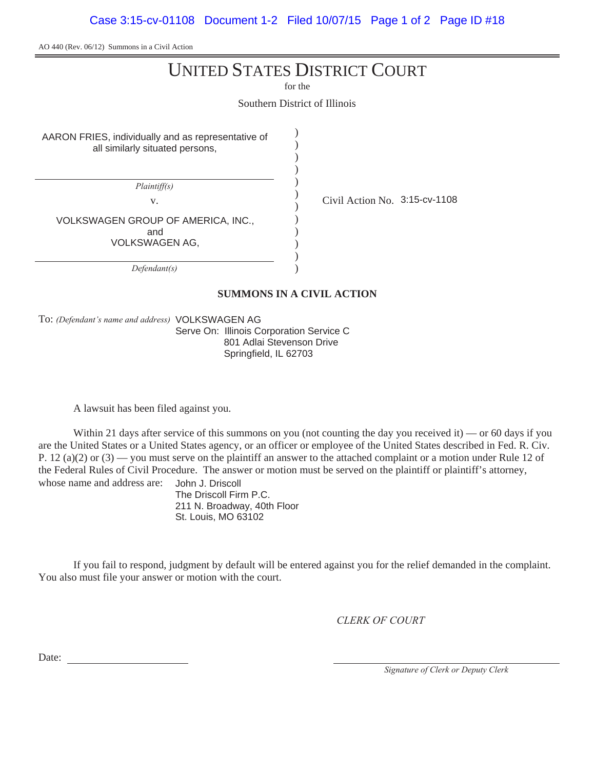AO 440 (Rev. 06/12) Summons in a Civil Action

# UNITED STATES DISTRICT COURT

for the

Southern District of Illinois

) ) ) ) ) ) ) ) ) ) ) )

AARON FRIES, individually and as representative of all similarly situated persons,

 $Plaintiff(s)$ 

VOLKSWAGEN GROUP OF AMERICA, INC., and VOLKSWAGEN AG,

 $Defendant(s)$ 

v.  $\frac{1}{2}$  Civil Action No. 3:15-cv-1108

**SUMMONS IN A CIVIL ACTION**

To: (Defendant's name and address) VOLKSWAGEN AG

Serve On: Illinois Corporation Service C 801 Adlai Stevenson Drive Springfield, IL 62703

A lawsuit has been filed against you.

Within 21 days after service of this summons on you (not counting the day you received it) — or 60 days if you are the United States or a United States agency, or an officer or employee of the United States described in Fed. R. Civ. P. 12 (a)(2) or  $(3)$  — you must serve on the plaintiff an answer to the attached complaint or a motion under Rule 12 of the Federal Rules of Civil Procedure. The answer or motion must be served on the plaintiff or plaintiff's attorney, whose name and address are: John J. Driscoll

The Driscoll Firm P.C. 211 N. Broadway, 40th Floor St. Louis, MO 63102

If you fail to respond, judgment by default will be entered against you for the relief demanded in the complaint. You also must file your answer or motion with the court.

**CLERK OF COURT** 

Date:

*Signature of Clerk or Deputy Clerk*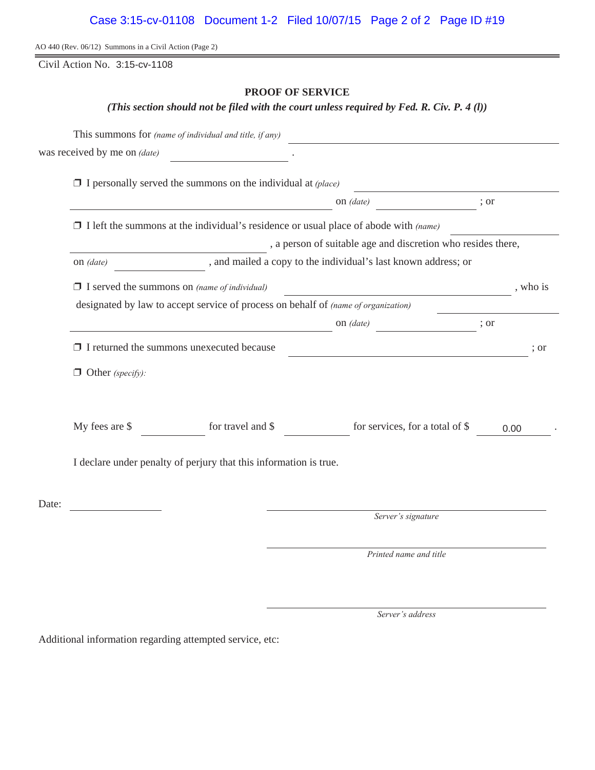# Case 3:15-cv-01108 Document 1-2 Filed 10/07/15 Page 2 of 2 Page ID #19

AO 440 (Rev. 06/12) Summons in a Civil Action (Page 2)

Civil Action No. 3:15-cv-1108

## **PROOF OF SERVICE**

*(This section should not be filed with the court unless required by Fed. R. Civ. P. 4 (l))*

|       | This summons for (name of individual and title, if any)                                     |                                                                                                                        |                                                                         |      |      |  |  |
|-------|---------------------------------------------------------------------------------------------|------------------------------------------------------------------------------------------------------------------------|-------------------------------------------------------------------------|------|------|--|--|
|       | was received by me on <i>(date)</i>                                                         |                                                                                                                        |                                                                         |      |      |  |  |
|       | $\Box$ I personally served the summons on the individual at (place)                         |                                                                                                                        |                                                                         |      |      |  |  |
|       |                                                                                             | ; or                                                                                                                   |                                                                         |      |      |  |  |
|       | $\Box$ I left the summons at the individual's residence or usual place of abode with (name) |                                                                                                                        |                                                                         |      |      |  |  |
|       | , a person of suitable age and discretion who resides there,                                |                                                                                                                        |                                                                         |      |      |  |  |
|       | , and mailed a copy to the individual's last known address; or<br>on (date)                 |                                                                                                                        |                                                                         |      |      |  |  |
|       | $\Box$ I served the summons on (name of individual)                                         |                                                                                                                        | , who is                                                                |      |      |  |  |
|       | designated by law to accept service of process on behalf of (name of organization)          |                                                                                                                        |                                                                         |      |      |  |  |
|       |                                                                                             |                                                                                                                        | on (date)<br>$\frac{1}{\sqrt{1-\frac{1}{2}}\left(1-\frac{1}{2}\right)}$ | ; or |      |  |  |
|       | $\Box$ I returned the summons unexecuted because                                            | <u> 1989 - Johann Stoff, deutscher Stoffen und der Stoffen und der Stoffen und der Stoffen und der Stoffen und der</u> | ; or                                                                    |      |      |  |  |
|       | $\Box$ Other (specify):                                                                     |                                                                                                                        |                                                                         |      |      |  |  |
|       |                                                                                             |                                                                                                                        |                                                                         |      |      |  |  |
|       | My fees are \$                                                                              | for travel and \$                                                                                                      | for services, for a total of \$                                         |      | 0.00 |  |  |
|       | I declare under penalty of perjury that this information is true.                           |                                                                                                                        |                                                                         |      |      |  |  |
| Date: |                                                                                             |                                                                                                                        |                                                                         |      |      |  |  |
|       |                                                                                             |                                                                                                                        | Server's signature                                                      |      |      |  |  |
|       |                                                                                             |                                                                                                                        | Printed name and title                                                  |      |      |  |  |

Server's address

Additional information regarding attempted service, etc: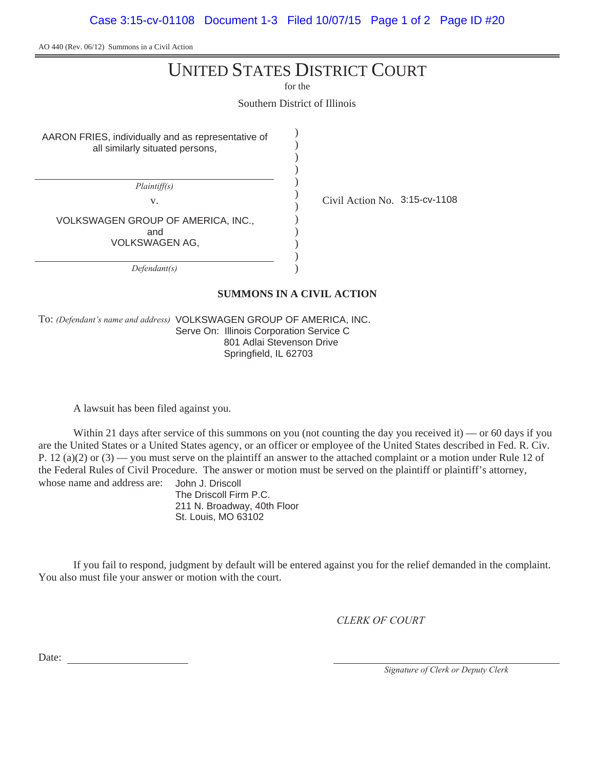AO 440 (Rev. 06/12) Summons in a Civil Action

# UNITED STATES DISTRICT COURT

for the

Southern District of Illinois

) ) ) ) ) ) ) ) ) ) ) )

AARON FRIES, individually and as representative of all similarly situated persons,

 $Plaintiff(s)$ 

VOLKSWAGEN GROUP OF AMERICA, INC., and

VOLKSWAGEN AG,

 $Defendant(s)$ 

v.  $\frac{1}{2}$  Civil Action No. 3:15-cv-1108

**SUMMONS IN A CIVIL ACTION**

To: (Defendant's name and address) VOLKSWAGEN GROUP OF AMERICA, INC. Serve On: Illinois Corporation Service C 801 Adlai Stevenson Drive Springfield, IL 62703

A lawsuit has been filed against you.

Within 21 days after service of this summons on you (not counting the day you received it) — or 60 days if you are the United States or a United States agency, or an officer or employee of the United States described in Fed. R. Civ. P. 12 (a)(2) or  $(3)$  — you must serve on the plaintiff an answer to the attached complaint or a motion under Rule 12 of the Federal Rules of Civil Procedure. The answer or motion must be served on the plaintiff or plaintiff's attorney, whose name and address are: John J. Driscoll

The Driscoll Firm P.C. 211 N. Broadway, 40th Floor St. Louis, MO 63102

If you fail to respond, judgment by default will be entered against you for the relief demanded in the complaint. You also must file your answer or motion with the court.

**CLERK OF COURT** 

Date:

*Signature of Clerk or Deputy Clerk*